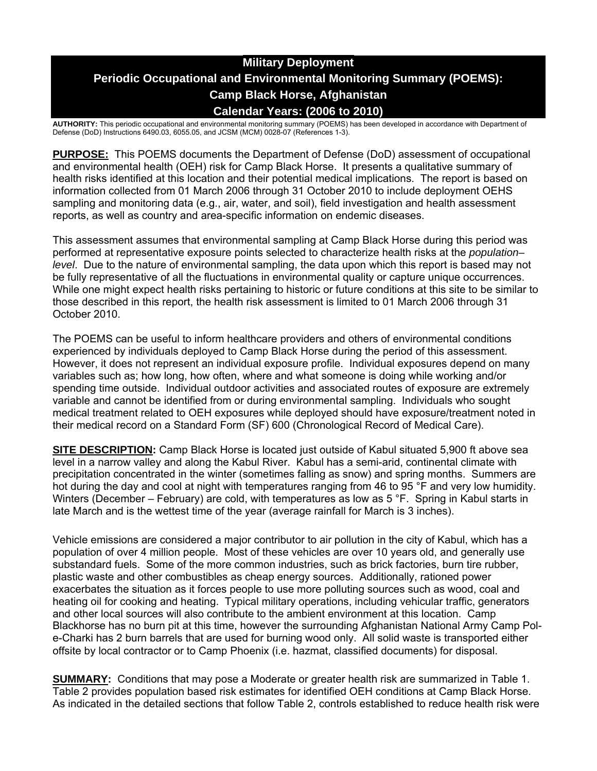# **Military Deployment Periodic Occupational and Environmental Monitoring Summary (POEMS): Camp Black Horse, Afghanistan Calendar Years: (2006 to 2010)**

**AUTHORITY:** This periodic occupational and environmental monitoring summary (POEMS) has been developed in accordance with Department of Defense (DoD) Instructions 6490.03, 6055.05, and JCSM (MCM) 0028-07 (References 1-3).

**PURPOSE:** This POEMS documents the Department of Defense (DoD) assessment of occupational and environmental health (OEH) risk for Camp Black Horse. It presents a qualitative summary of health risks identified at this location and their potential medical implications. The report is based on information collected from 01 March 2006 through 31 October 2010 to include deployment OEHS sampling and monitoring data (e.g., air, water, and soil), field investigation and health assessment reports, as well as country and area-specific information on endemic diseases.

This assessment assumes that environmental sampling at Camp Black Horse during this period was performed at representative exposure points selected to characterize health risks at the *population– level*. Due to the nature of environmental sampling, the data upon which this report is based may not be fully representative of all the fluctuations in environmental quality or capture unique occurrences. While one might expect health risks pertaining to historic or future conditions at this site to be similar to those described in this report, the health risk assessment is limited to 01 March 2006 through 31 October 2010.

The POEMS can be useful to inform healthcare providers and others of environmental conditions experienced by individuals deployed to Camp Black Horse during the period of this assessment. However, it does not represent an individual exposure profile. Individual exposures depend on many variables such as; how long, how often, where and what someone is doing while working and/or spending time outside. Individual outdoor activities and associated routes of exposure are extremely variable and cannot be identified from or during environmental sampling. Individuals who sought medical treatment related to OEH exposures while deployed should have exposure/treatment noted in their medical record on a Standard Form (SF) 600 (Chronological Record of Medical Care).

**SITE DESCRIPTION:** Camp Black Horse is located just outside of Kabul situated 5,900 ft above sea level in a narrow valley and along the Kabul River. Kabul has a semi-arid, continental climate with precipitation concentrated in the winter (sometimes falling as snow) and spring months. Summers are hot during the day and cool at night with temperatures ranging from 46 to 95 °F and very low humidity. Winters (December – February) are cold, with temperatures as low as 5 °F. Spring in Kabul starts in late March and is the wettest time of the year (average rainfall for March is 3 inches).

Vehicle emissions are considered a major contributor to air pollution in the city of Kabul, which has a population of over 4 million people. Most of these vehicles are over 10 years old, and generally use substandard fuels. Some of the more common industries, such as brick factories, burn tire rubber, plastic waste and other combustibles as cheap energy sources. Additionally, rationed power exacerbates the situation as it forces people to use more polluting sources such as wood, coal and heating oil for cooking and heating. Typical military operations, including vehicular traffic, generators and other local sources will also contribute to the ambient environment at this location. Camp Blackhorse has no burn pit at this time, however the surrounding Afghanistan National Army Camp Pole-Charki has 2 burn barrels that are used for burning wood only. All solid waste is transported either offsite by local contractor or to Camp Phoenix (i.e. hazmat, classified documents) for disposal.

**SUMMARY:** Conditions that may pose a Moderate or greater health risk are summarized in Table 1. Table 2 provides population based risk estimates for identified OEH conditions at Camp Black Horse. As indicated in the detailed sections that follow Table 2, controls established to reduce health risk were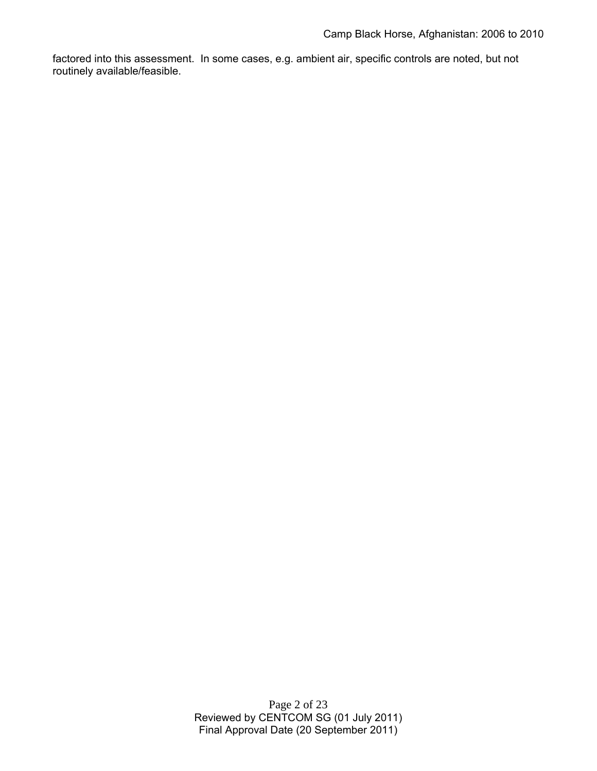factored into this assessment. In some cases, e.g. ambient air, specific controls are noted, but not routinely available/feasible.

> Page 2 of 23 Reviewed by CENTCOM SG (01 July 2011) Final Approval Date (20 September 2011)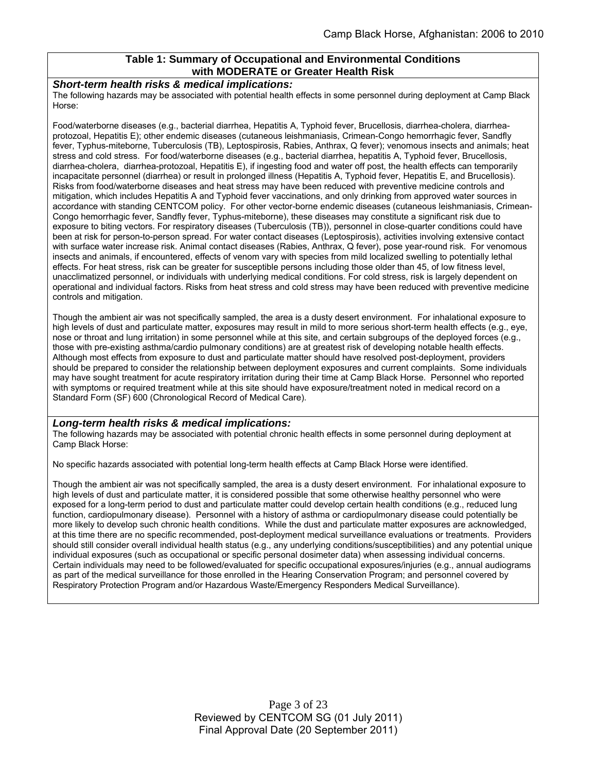#### **Table 1: Summary of Occupational and Environmental Conditions with MODERATE or Greater Health Risk**

#### *Short-term health risks & medical implications:*

The following hazards may be associated with potential health effects in some personnel during deployment at Camp Black Horse:

Food/waterborne diseases (e.g., bacterial diarrhea, Hepatitis A, Typhoid fever, Brucellosis, diarrhea-cholera, diarrheaprotozoal, Hepatitis E); other endemic diseases (cutaneous leishmaniasis, Crimean-Congo hemorrhagic fever, Sandfly fever, Typhus-miteborne, Tuberculosis (TB), Leptospirosis, Rabies, Anthrax, Q fever); venomous insects and animals; heat stress and cold stress. For food/waterborne diseases (e.g., bacterial diarrhea, hepatitis A, Typhoid fever, Brucellosis, diarrhea-cholera, diarrhea-protozoal, Hepatitis E), if ingesting food and water off post, the health effects can temporarily incapacitate personnel (diarrhea) or result in prolonged illness (Hepatitis A, Typhoid fever, Hepatitis E, and Brucellosis). Risks from food/waterborne diseases and heat stress may have been reduced with preventive medicine controls and mitigation, which includes Hepatitis A and Typhoid fever vaccinations, and only drinking from approved water sources in accordance with standing CENTCOM policy. For other vector-borne endemic diseases (cutaneous leishmaniasis, Crimean-Congo hemorrhagic fever, Sandfly fever, Typhus-miteborne), these diseases may constitute a significant risk due to exposure to biting vectors. For respiratory diseases (Tuberculosis (TB)), personnel in close-quarter conditions could have been at risk for person-to-person spread. For water contact diseases (Leptospirosis), activities involving extensive contact with surface water increase risk. Animal contact diseases (Rabies, Anthrax, Q fever), pose year-round risk. For venomous insects and animals, if encountered, effects of venom vary with species from mild localized swelling to potentially lethal effects. For heat stress, risk can be greater for susceptible persons including those older than 45, of low fitness level, unacclimatized personnel, or individuals with underlying medical conditions. For cold stress, risk is largely dependent on operational and individual factors. Risks from heat stress and cold stress may have been reduced with preventive medicine controls and mitigation.

Though the ambient air was not specifically sampled, the area is a dusty desert environment. For inhalational exposure to high levels of dust and particulate matter, exposures may result in mild to more serious short-term health effects (e.g., eye, nose or throat and lung irritation) in some personnel while at this site, and certain subgroups of the deployed forces (e.g., those with pre-existing asthma/cardio pulmonary conditions) are at greatest risk of developing notable health effects. Although most effects from exposure to dust and particulate matter should have resolved post-deployment, providers should be prepared to consider the relationship between deployment exposures and current complaints. Some individuals may have sought treatment for acute respiratory irritation during their time at Camp Black Horse. Personnel who reported with symptoms or required treatment while at this site should have exposure/treatment noted in medical record on a Standard Form (SF) 600 (Chronological Record of Medical Care).

#### *Long-term health risks & medical implications:*

The following hazards may be associated with potential chronic health effects in some personnel during deployment at Camp Black Horse:

No specific hazards associated with potential long-term health effects at Camp Black Horse were identified.

Though the ambient air was not specifically sampled, the area is a dusty desert environment. For inhalational exposure to high levels of dust and particulate matter, it is considered possible that some otherwise healthy personnel who were exposed for a long-term period to dust and particulate matter could develop certain health conditions (e.g., reduced lung function, cardiopulmonary disease). Personnel with a history of asthma or cardiopulmonary disease could potentially be more likely to develop such chronic health conditions. While the dust and particulate matter exposures are acknowledged, at this time there are no specific recommended, post-deployment medical surveillance evaluations or treatments. Providers should still consider overall individual health status (e.g., any underlying conditions/susceptibilities) and any potential unique individual exposures (such as occupational or specific personal dosimeter data) when assessing individual concerns. Certain individuals may need to be followed/evaluated for specific occupational exposures/injuries (e.g., annual audiograms as part of the medical surveillance for those enrolled in the Hearing Conservation Program; and personnel covered by Respiratory Protection Program and/or Hazardous Waste/Emergency Responders Medical Surveillance).

> Page 3 of 23 Reviewed by CENTCOM SG (01 July 2011) Final Approval Date (20 September 2011)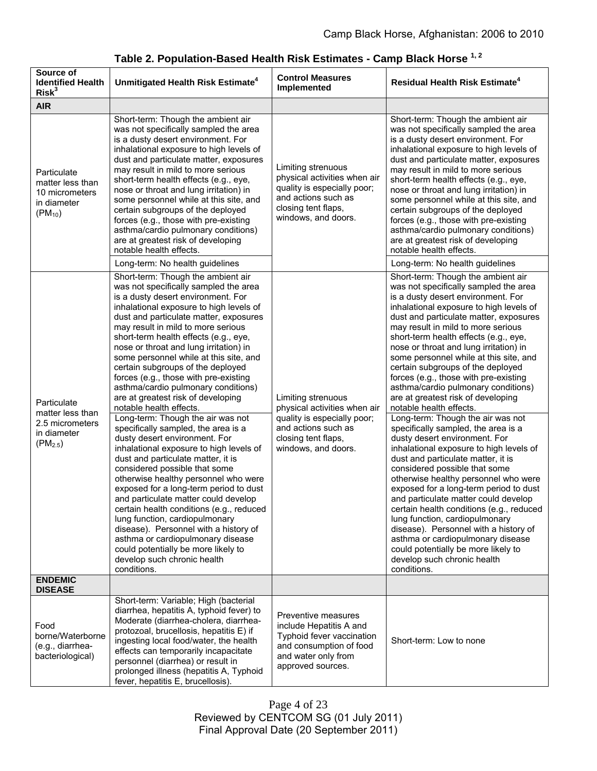| Source of<br><b>Identified Health</b><br>Risk <sup>3</sup>                        | Unmitigated Health Risk Estimate <sup>4</sup>                                                                                                                                                                                                                                                                                                                                                                                                                                                                                                                                                                                                                                                                                                                                                                                                                                                                                                                                                                                                                                                                                                                             | <b>Control Measures</b><br>Implemented                                                                                                                 | <b>Residual Health Risk Estimate<sup>4</sup></b>                                                                                                                                                                                                                                                                                                                                                                                                                                                                                                                                                                                                                                                                                                                                                                                                                                                                                                                                                                                                                                                                                                                          |
|-----------------------------------------------------------------------------------|---------------------------------------------------------------------------------------------------------------------------------------------------------------------------------------------------------------------------------------------------------------------------------------------------------------------------------------------------------------------------------------------------------------------------------------------------------------------------------------------------------------------------------------------------------------------------------------------------------------------------------------------------------------------------------------------------------------------------------------------------------------------------------------------------------------------------------------------------------------------------------------------------------------------------------------------------------------------------------------------------------------------------------------------------------------------------------------------------------------------------------------------------------------------------|--------------------------------------------------------------------------------------------------------------------------------------------------------|---------------------------------------------------------------------------------------------------------------------------------------------------------------------------------------------------------------------------------------------------------------------------------------------------------------------------------------------------------------------------------------------------------------------------------------------------------------------------------------------------------------------------------------------------------------------------------------------------------------------------------------------------------------------------------------------------------------------------------------------------------------------------------------------------------------------------------------------------------------------------------------------------------------------------------------------------------------------------------------------------------------------------------------------------------------------------------------------------------------------------------------------------------------------------|
| <b>AIR</b>                                                                        |                                                                                                                                                                                                                                                                                                                                                                                                                                                                                                                                                                                                                                                                                                                                                                                                                                                                                                                                                                                                                                                                                                                                                                           |                                                                                                                                                        |                                                                                                                                                                                                                                                                                                                                                                                                                                                                                                                                                                                                                                                                                                                                                                                                                                                                                                                                                                                                                                                                                                                                                                           |
| Particulate<br>matter less than<br>10 micrometers<br>in diameter<br>$(PM_{10})$   | Short-term: Though the ambient air<br>was not specifically sampled the area<br>is a dusty desert environment. For<br>inhalational exposure to high levels of<br>dust and particulate matter, exposures<br>may result in mild to more serious<br>short-term health effects (e.g., eye,<br>nose or throat and lung irritation) in<br>some personnel while at this site, and<br>certain subgroups of the deployed<br>forces (e.g., those with pre-existing<br>asthma/cardio pulmonary conditions)<br>are at greatest risk of developing<br>notable health effects.<br>Long-term: No health guidelines                                                                                                                                                                                                                                                                                                                                                                                                                                                                                                                                                                        | Limiting strenuous<br>physical activities when air<br>quality is especially poor;<br>and actions such as<br>closing tent flaps,<br>windows, and doors. | Short-term: Though the ambient air<br>was not specifically sampled the area<br>is a dusty desert environment. For<br>inhalational exposure to high levels of<br>dust and particulate matter, exposures<br>may result in mild to more serious<br>short-term health effects (e.g., eye,<br>nose or throat and lung irritation) in<br>some personnel while at this site, and<br>certain subgroups of the deployed<br>forces (e.g., those with pre-existing<br>asthma/cardio pulmonary conditions)<br>are at greatest risk of developing<br>notable health effects.<br>Long-term: No health guidelines                                                                                                                                                                                                                                                                                                                                                                                                                                                                                                                                                                        |
| Particulate<br>matter less than<br>2.5 micrometers<br>in diameter<br>$(PM_{2.5})$ | Short-term: Though the ambient air<br>was not specifically sampled the area<br>is a dusty desert environment. For<br>inhalational exposure to high levels of<br>dust and particulate matter, exposures<br>may result in mild to more serious<br>short-term health effects (e.g., eye,<br>nose or throat and lung irritation) in<br>some personnel while at this site, and<br>certain subgroups of the deployed<br>forces (e.g., those with pre-existing<br>asthma/cardio pulmonary conditions)<br>are at greatest risk of developing<br>notable health effects.<br>Long-term: Though the air was not<br>specifically sampled, the area is a<br>dusty desert environment. For<br>inhalational exposure to high levels of<br>dust and particulate matter, it is<br>considered possible that some<br>otherwise healthy personnel who were<br>exposed for a long-term period to dust<br>and particulate matter could develop<br>certain health conditions (e.g., reduced<br>lung function, cardiopulmonary<br>disease). Personnel with a history of<br>asthma or cardiopulmonary disease<br>could potentially be more likely to<br>develop such chronic health<br>conditions. | Limiting strenuous<br>physical activities when air<br>quality is especially poor;<br>and actions such as<br>closing tent flaps,<br>windows, and doors. | Short-term: Though the ambient air<br>was not specifically sampled the area<br>is a dusty desert environment. For<br>inhalational exposure to high levels of<br>dust and particulate matter, exposures<br>may result in mild to more serious<br>short-term health effects (e.g., eye,<br>nose or throat and lung irritation) in<br>some personnel while at this site, and<br>certain subgroups of the deployed<br>forces (e.g., those with pre-existing<br>asthma/cardio pulmonary conditions)<br>are at greatest risk of developing<br>notable health effects.<br>Long-term: Though the air was not<br>specifically sampled, the area is a<br>dusty desert environment. For<br>inhalational exposure to high levels of<br>dust and particulate matter, it is<br>considered possible that some<br>otherwise healthy personnel who were<br>exposed for a long-term period to dust<br>and particulate matter could develop<br>certain health conditions (e.g., reduced<br>lung function, cardiopulmonary<br>disease). Personnel with a history of<br>asthma or cardiopulmonary disease<br>could potentially be more likely to<br>develop such chronic health<br>conditions. |
| <b>ENDEMIC</b><br><b>DISEASE</b>                                                  |                                                                                                                                                                                                                                                                                                                                                                                                                                                                                                                                                                                                                                                                                                                                                                                                                                                                                                                                                                                                                                                                                                                                                                           |                                                                                                                                                        |                                                                                                                                                                                                                                                                                                                                                                                                                                                                                                                                                                                                                                                                                                                                                                                                                                                                                                                                                                                                                                                                                                                                                                           |
| Food<br>borne/Waterborne<br>(e.g., diarrhea-<br>bacteriological)                  | Short-term: Variable; High (bacterial<br>diarrhea, hepatitis A, typhoid fever) to<br>Moderate (diarrhea-cholera, diarrhea-<br>protozoal, brucellosis, hepatitis E) if<br>ingesting local food/water, the health<br>effects can temporarily incapacitate<br>personnel (diarrhea) or result in<br>prolonged illness (hepatitis A, Typhoid<br>fever, hepatitis E, brucellosis).                                                                                                                                                                                                                                                                                                                                                                                                                                                                                                                                                                                                                                                                                                                                                                                              | Preventive measures<br>include Hepatitis A and<br>Typhoid fever vaccination<br>and consumption of food<br>and water only from<br>approved sources.     | Short-term: Low to none                                                                                                                                                                                                                                                                                                                                                                                                                                                                                                                                                                                                                                                                                                                                                                                                                                                                                                                                                                                                                                                                                                                                                   |

# **Table 2. Population-Based Health Risk Estimates - Camp Black Horse 1, 2**

Page 4 of 23 Reviewed by CENTCOM SG (01 July 2011) Final Approval Date (20 September 2011)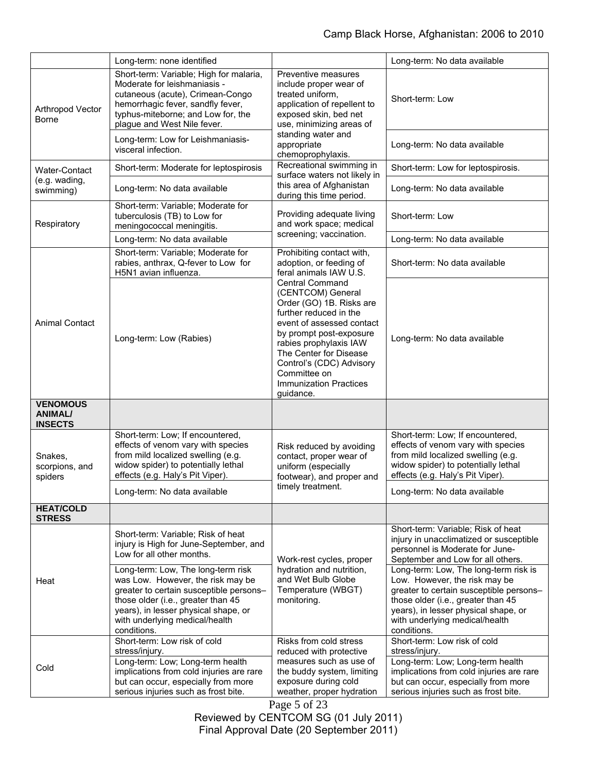|                                                     | Long-term: none identified                                                                                                                                                                                                                                                                                                                                     |                                                                                                                                                                                                                                                                                                                                                                                           | Long-term: No data available                                                                                                                                                                                                                                                                                                                                                                              |
|-----------------------------------------------------|----------------------------------------------------------------------------------------------------------------------------------------------------------------------------------------------------------------------------------------------------------------------------------------------------------------------------------------------------------------|-------------------------------------------------------------------------------------------------------------------------------------------------------------------------------------------------------------------------------------------------------------------------------------------------------------------------------------------------------------------------------------------|-----------------------------------------------------------------------------------------------------------------------------------------------------------------------------------------------------------------------------------------------------------------------------------------------------------------------------------------------------------------------------------------------------------|
| Arthropod Vector<br><b>Borne</b>                    | Short-term: Variable; High for malaria,<br>Moderate for leishmaniasis -<br>cutaneous (acute), Crimean-Congo<br>hemorrhagic fever, sandfly fever,<br>typhus-miteborne; and Low for, the<br>plague and West Nile fever.                                                                                                                                          | Preventive measures<br>include proper wear of<br>treated uniform,<br>application of repellent to<br>exposed skin, bed net<br>use, minimizing areas of<br>standing water and<br>appropriate<br>chemoprophylaxis.                                                                                                                                                                           | Short-term: Low                                                                                                                                                                                                                                                                                                                                                                                           |
|                                                     | Long-term: Low for Leishmaniasis-<br>visceral infection.                                                                                                                                                                                                                                                                                                       |                                                                                                                                                                                                                                                                                                                                                                                           | Long-term: No data available                                                                                                                                                                                                                                                                                                                                                                              |
| <b>Water-Contact</b><br>(e.g. wading,<br>swimming)  | Short-term: Moderate for leptospirosis                                                                                                                                                                                                                                                                                                                         | Recreational swimming in<br>surface waters not likely in<br>this area of Afghanistan<br>during this time period.                                                                                                                                                                                                                                                                          | Short-term: Low for leptospirosis.                                                                                                                                                                                                                                                                                                                                                                        |
|                                                     | Long-term: No data available                                                                                                                                                                                                                                                                                                                                   |                                                                                                                                                                                                                                                                                                                                                                                           | Long-term: No data available                                                                                                                                                                                                                                                                                                                                                                              |
| Respiratory                                         | Short-term: Variable; Moderate for<br>tuberculosis (TB) to Low for<br>meningococcal meningitis.                                                                                                                                                                                                                                                                | Providing adequate living<br>and work space; medical<br>screening; vaccination.                                                                                                                                                                                                                                                                                                           | Short-term: Low                                                                                                                                                                                                                                                                                                                                                                                           |
|                                                     | Long-term: No data available                                                                                                                                                                                                                                                                                                                                   |                                                                                                                                                                                                                                                                                                                                                                                           | Long-term: No data available                                                                                                                                                                                                                                                                                                                                                                              |
| <b>Animal Contact</b>                               | Short-term: Variable; Moderate for<br>rabies, anthrax, Q-fever to Low for<br>H5N1 avian influenza.                                                                                                                                                                                                                                                             | Prohibiting contact with,<br>adoption, or feeding of<br>feral animals IAW U.S.<br><b>Central Command</b><br>(CENTCOM) General<br>Order (GO) 1B. Risks are<br>further reduced in the<br>event of assessed contact<br>by prompt post-exposure<br>rabies prophylaxis IAW<br>The Center for Disease<br>Control's (CDC) Advisory<br>Committee on<br><b>Immunization Practices</b><br>guidance. | Short-term: No data available                                                                                                                                                                                                                                                                                                                                                                             |
|                                                     | Long-term: Low (Rabies)                                                                                                                                                                                                                                                                                                                                        |                                                                                                                                                                                                                                                                                                                                                                                           | Long-term: No data available                                                                                                                                                                                                                                                                                                                                                                              |
| <b>VENOMOUS</b><br><b>ANIMAL/</b><br><b>INSECTS</b> |                                                                                                                                                                                                                                                                                                                                                                |                                                                                                                                                                                                                                                                                                                                                                                           |                                                                                                                                                                                                                                                                                                                                                                                                           |
| Snakes,<br>scorpions, and<br>spiders                | Short-term: Low; If encountered,<br>effects of venom vary with species<br>from mild localized swelling (e.g.<br>widow spider) to potentially lethal<br>effects (e.g. Haly's Pit Viper).                                                                                                                                                                        | Risk reduced by avoiding<br>contact, proper wear of<br>uniform (especially<br>footwear), and proper and<br>timely treatment.                                                                                                                                                                                                                                                              | Short-term: Low; If encountered,<br>effects of venom vary with species<br>from mild localized swelling (e.g.<br>widow spider) to potentially lethal<br>effects (e.g. Haly's Pit Viper).                                                                                                                                                                                                                   |
|                                                     | Long-term: No data available                                                                                                                                                                                                                                                                                                                                   |                                                                                                                                                                                                                                                                                                                                                                                           | Long-term: No data available                                                                                                                                                                                                                                                                                                                                                                              |
| <b>HEAT/COLD</b><br><b>STRESS</b>                   |                                                                                                                                                                                                                                                                                                                                                                |                                                                                                                                                                                                                                                                                                                                                                                           |                                                                                                                                                                                                                                                                                                                                                                                                           |
| Heat                                                | Short-term: Variable; Risk of heat<br>injury is High for June-September, and<br>Low for all other months.<br>Long-term: Low, The long-term risk<br>was Low. However, the risk may be<br>greater to certain susceptible persons-<br>those older (i.e., greater than 45<br>years), in lesser physical shape, or<br>with underlying medical/health<br>conditions. | Work-rest cycles, proper<br>hydration and nutrition,<br>and Wet Bulb Globe<br>Temperature (WBGT)<br>monitoring.                                                                                                                                                                                                                                                                           | Short-term: Variable; Risk of heat<br>injury in unacclimatized or susceptible<br>personnel is Moderate for June-<br>September and Low for all others.<br>Long-term: Low, The long-term risk is<br>Low. However, the risk may be<br>greater to certain susceptible persons-<br>those older (i.e., greater than 45<br>years), in lesser physical shape, or<br>with underlying medical/health<br>conditions. |
| Cold                                                | Short-term: Low risk of cold<br>stress/injury.<br>Long-term: Low; Long-term health<br>implications from cold injuries are rare<br>but can occur, especially from more<br>serious injuries such as frost bite.                                                                                                                                                  | Risks from cold stress<br>reduced with protective<br>measures such as use of<br>the buddy system, limiting<br>exposure during cold<br>weather, proper hydration                                                                                                                                                                                                                           | Short-term: Low risk of cold<br>stress/injury.<br>Long-term: Low; Long-term health<br>implications from cold injuries are rare<br>but can occur, especially from more<br>serious injuries such as frost bite.                                                                                                                                                                                             |

Page 5 of 23 Reviewed by CENTCOM SG (01 July 2011) Final Approval Date (20 September 2011)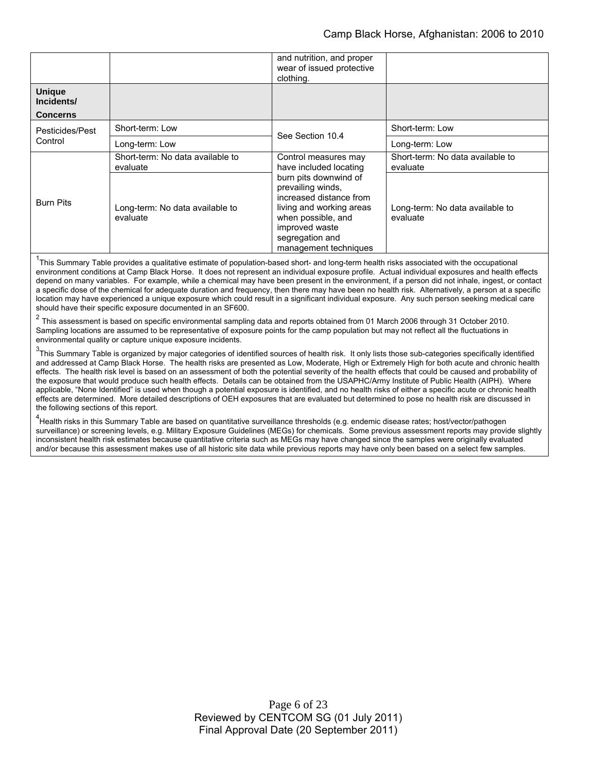|                                                |                                              | and nutrition, and proper<br>wear of issued protective<br>clothing.                                                                                                                                                                     |                                              |
|------------------------------------------------|----------------------------------------------|-----------------------------------------------------------------------------------------------------------------------------------------------------------------------------------------------------------------------------------------|----------------------------------------------|
| <b>Unique</b><br>Incidents/<br><b>Concerns</b> |                                              |                                                                                                                                                                                                                                         |                                              |
| Pesticides/Pest<br>Control                     | Short-term: Low                              | See Section 10.4                                                                                                                                                                                                                        | Short-term: Low                              |
|                                                | Long-term: Low                               |                                                                                                                                                                                                                                         | Long-term: Low                               |
| <b>Burn Pits</b>                               | Short-term: No data available to<br>evaluate | Control measures may<br>have included locating<br>burn pits downwind of<br>prevailing winds,<br>increased distance from<br>living and working areas<br>when possible, and<br>improved waste<br>segregation and<br>management techniques | Short-term: No data available to<br>evaluate |
|                                                | Long-term: No data available to<br>evaluate  |                                                                                                                                                                                                                                         | Long-term: No data available to<br>evaluate  |

<sup>1</sup>This Summary Table provides a qualitative estimate of population-based short- and long-term health risks associated with the occupational environment conditions at Camp Black Horse. It does not represent an individual exposure profile. Actual individual exposures and health effects depend on many variables. For example, while a chemical may have been present in the environment, if a person did not inhale, ingest, or contact a specific dose of the chemical for adequate duration and frequency, then there may have been no health risk. Alternatively, a person at a specific location may have experienced a unique exposure which could result in a significant individual exposure. Any such person seeking medical care should have their specific exposure documented in an SF600.

<sup>2</sup> This assessment is based on specific environmental sampling data and reports obtained from 01 March 2006 through 31 October 2010. Sampling locations are assumed to be representative of exposure points for the camp population but may not reflect all the fluctuations in environmental quality or capture unique exposure incidents.

 $3$ This Summary Table is organized by major categories of identified sources of health risk. It only lists those sub-categories specifically identified and addressed at Camp Black Horse. The health risks are presented as Low, Moderate, High or Extremely High for both acute and chronic health effects. The health risk level is based on an assessment of both the potential severity of the health effects that could be caused and probability of the exposure that would produce such health effects. Details can be obtained from the USAPHC/Army Institute of Public Health (AIPH). Where applicable, "None Identified" is used when though a potential exposure is identified, and no health risks of either a specific acute or chronic health effects are determined. More detailed descriptions of OEH exposures that are evaluated but determined to pose no health risk are discussed in the following sections of this report.

<sup>4</sup><br>Health risks in this Summary Table are based on quantitative surveillance thresholds (e.g. endemic disease rates; host/vector/pathogen surveillance) or screening levels, e.g. Military Exposure Guidelines (MEGs) for chemicals*.* Some previous assessment reports may provide slightly inconsistent health risk estimates because quantitative criteria such as MEGs may have changed since the samples were originally evaluated and/or because this assessment makes use of all historic site data while previous reports may have only been based on a select few samples.

> Page 6 of 23 Reviewed by CENTCOM SG (01 July 2011) Final Approval Date (20 September 2011)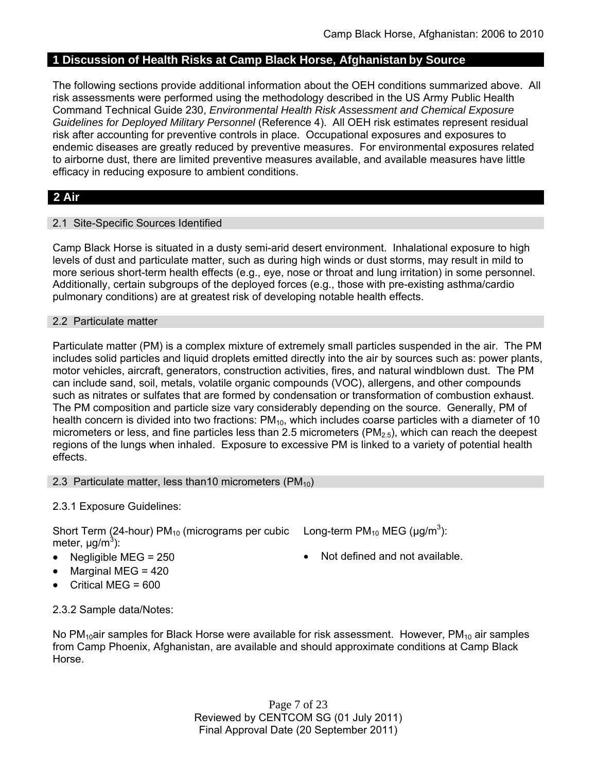# **1 Discussion of Health Risks at Camp Black Horse, Afghanistan by Source**

The following sections provide additional information about the OEH conditions summarized above. All risk assessments were performed using the methodology described in the US Army Public Health Command Technical Guide 230, *Environmental Health Risk Assessment and Chemical Exposure Guidelines for Deployed Military Personnel* (Reference 4). All OEH risk estimates represent residual risk after accounting for preventive controls in place. Occupational exposures and exposures to endemic diseases are greatly reduced by preventive measures. For environmental exposures related to airborne dust, there are limited preventive measures available, and available measures have little efficacy in reducing exposure to ambient conditions.

# **2 Air**

## 2.1 Site-Specific Sources Identified

Camp Black Horse is situated in a dusty semi-arid desert environment. Inhalational exposure to high levels of dust and particulate matter, such as during high winds or dust storms, may result in mild to more serious short-term health effects (e.g., eye, nose or throat and lung irritation) in some personnel. Additionally, certain subgroups of the deployed forces (e.g., those with pre-existing asthma/cardio pulmonary conditions) are at greatest risk of developing notable health effects.

#### 2.2 Particulate matter

Particulate matter (PM) is a complex mixture of extremely small particles suspended in the air. The PM includes solid particles and liquid droplets emitted directly into the air by sources such as: power plants, motor vehicles, aircraft, generators, construction activities, fires, and natural windblown dust. The PM can include sand, soil, metals, volatile organic compounds (VOC), allergens, and other compounds such as nitrates or sulfates that are formed by condensation or transformation of combustion exhaust. The PM composition and particle size vary considerably depending on the source. Generally, PM of health concern is divided into two fractions:  $PM_{10}$ , which includes coarse particles with a diameter of 10 micrometers or less, and fine particles less than 2.5 micrometers ( $PM<sub>2.5</sub>$ ), which can reach the deepest regions of the lungs when inhaled. Exposure to excessive PM is linked to a variety of potential health effects.

#### 2.3 Particulate matter, less than10 micrometers  $(PM_{10})$

## 2.3.1 Exposure Guidelines:

Short Term (24-hour) PM<sub>10</sub> (micrograms per cubic Long-term PM<sub>10</sub> MEG ( $\mu$ g/m<sup>3</sup>): meter, μg/m<sup>3</sup>):

- 
- Marginal MEG = 420
- Critical MEG = 600
- 
- Negligible MEG =  $250$   $\bullet$  Not defined and not available.

2.3.2 Sample data/Notes:

No PM<sub>10</sub>air samples for Black Horse were available for risk assessment. However, PM<sub>10</sub> air samples from Camp Phoenix, Afghanistan, are available and should approximate conditions at Camp Black Horse.

> Page 7 of 23 Reviewed by CENTCOM SG (01 July 2011) Final Approval Date (20 September 2011)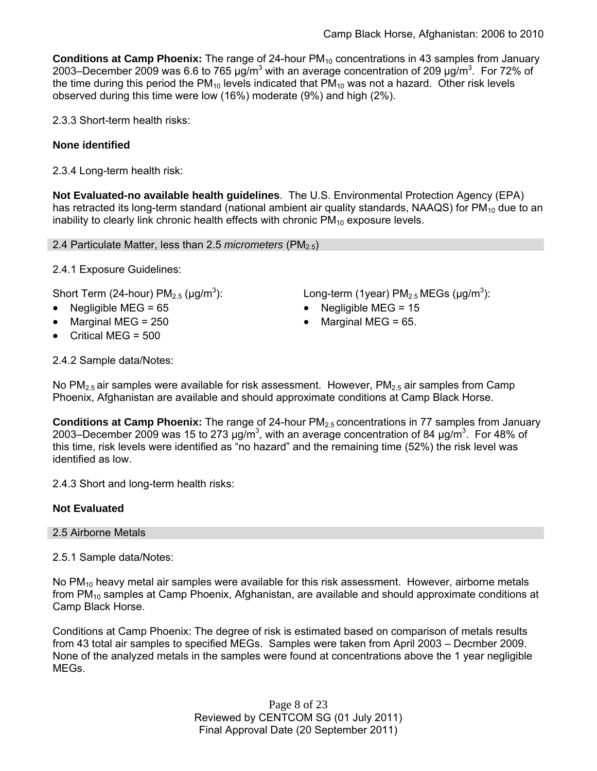**Conditions at Camp Phoenix:** The range of 24-hour PM<sub>10</sub> concentrations in 43 samples from January 2003–December 2009 was 6.6 to 765  $\mu$ g/m<sup>3</sup> with an average concentration of 209  $\mu$ g/m<sup>3</sup>. For 72% of the time during this period the  $PM_{10}$  levels indicated that  $PM_{10}$  was not a hazard. Other risk levels observed during this time were low (16%) moderate (9%) and high (2%).

2.3.3 Short-term health risks:

## **None identified**

2.3.4 Long-term health risk:

**Not Evaluated-no available health guidelines**. The U.S. Environmental Protection Agency (EPA) has retracted its long-term standard (national ambient air quality standards, NAAQS) for  $PM_{10}$  due to an inability to clearly link chronic health effects with chronic  $PM_{10}$  exposure levels.

2.4 Particulate Matter, less than 2.5 *micrometers* (PM2.5)

2.4.1 Exposure Guidelines:

Short Term (24-hour)  $PM<sub>2.5</sub>$  ( $\mu$ g/m<sup>3</sup>):

- 
- 
- Critical MEG = 500

): Long-term (1year)  $PM_{2.5}$  MEGs ( $\mu$ g/m<sup>3</sup>):

- Negligible MEG = 65 Negligible MEG = 15
- Marginal MEG =  $250$   $\bullet$  Marginal MEG =  $65$ .

2.4.2 Sample data/Notes:

No  $PM_{2.5}$  air samples were available for risk assessment. However,  $PM_{2.5}$  air samples from Camp Phoenix, Afghanistan are available and should approximate conditions at Camp Black Horse.

**Conditions at Camp Phoenix:** The range of 24-hour PM<sub>2.5</sub> concentrations in 77 samples from January 2003–December 2009 was 15 to 273  $\mu$ g/m<sup>3</sup>, with an average concentration of 84  $\mu$ g/m<sup>3</sup>. For 48% of this time, risk levels were identified as "no hazard" and the remaining time (52%) the risk level was identified as low.

2.4.3 Short and long-term health risks:

## **Not Evaluated**

#### 2.5 Airborne Metals

2.5.1 Sample data/Notes:

No  $PM_{10}$  heavy metal air samples were available for this risk assessment. However, airborne metals from  $PM_{10}$  samples at Camp Phoenix, Afghanistan, are available and should approximate conditions at Camp Black Horse.

Conditions at Camp Phoenix: The degree of risk is estimated based on comparison of metals results from 43 total air samples to specified MEGs. Samples were taken from April 2003 – Decmber 2009. None of the analyzed metals in the samples were found at concentrations above the 1 year negligible MEGs.

> Page 8 of 23 Reviewed by CENTCOM SG (01 July 2011) Final Approval Date (20 September 2011)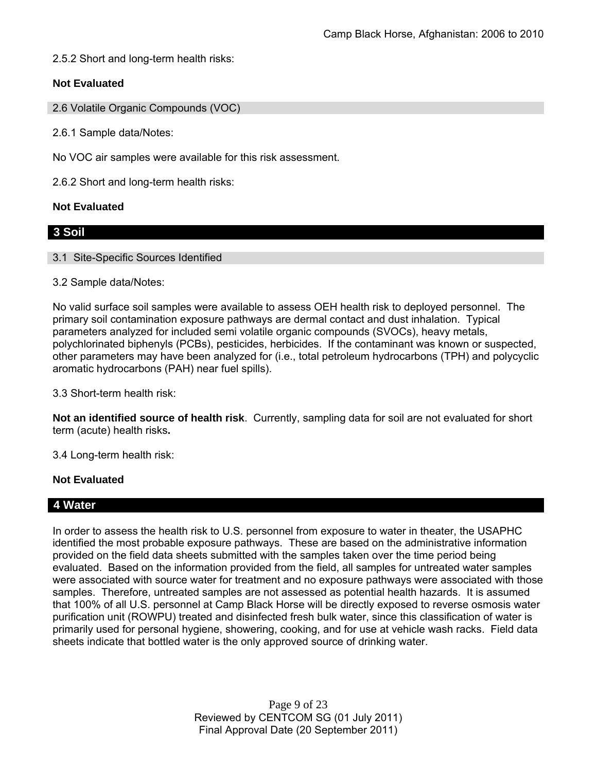2.5.2 Short and long-term health risks:

# **Not Evaluated**

2.6 Volatile Organic Compounds (VOC)

2.6.1 Sample data/Notes:

No VOC air samples were available for this risk assessment.

2.6.2 Short and long-term health risks:

#### **Not Evaluated**

## **3 Soil**

#### 3.1 Site-Specific Sources Identified

#### 3.2 Sample data/Notes:

No valid surface soil samples were available to assess OEH health risk to deployed personnel. The primary soil contamination exposure pathways are dermal contact and dust inhalation. Typical parameters analyzed for included semi volatile organic compounds (SVOCs), heavy metals, polychlorinated biphenyls (PCBs), pesticides, herbicides. If the contaminant was known or suspected, other parameters may have been analyzed for (i.e., total petroleum hydrocarbons (TPH) and polycyclic aromatic hydrocarbons (PAH) near fuel spills).

3.3 Short-term health risk:

**Not an identified source of health risk**. Currently, sampling data for soil are not evaluated for short term (acute) health risks**.**

3.4 Long-term health risk:

## **Not Evaluated**

## **4 Water**

In order to assess the health risk to U.S. personnel from exposure to water in theater, the USAPHC identified the most probable exposure pathways. These are based on the administrative information provided on the field data sheets submitted with the samples taken over the time period being evaluated. Based on the information provided from the field, all samples for untreated water samples were associated with source water for treatment and no exposure pathways were associated with those samples. Therefore, untreated samples are not assessed as potential health hazards. It is assumed that 100% of all U.S. personnel at Camp Black Horse will be directly exposed to reverse osmosis water purification unit (ROWPU) treated and disinfected fresh bulk water, since this classification of water is primarily used for personal hygiene, showering, cooking, and for use at vehicle wash racks. Field data sheets indicate that bottled water is the only approved source of drinking water.

> Page 9 of 23 Reviewed by CENTCOM SG (01 July 2011) Final Approval Date (20 September 2011)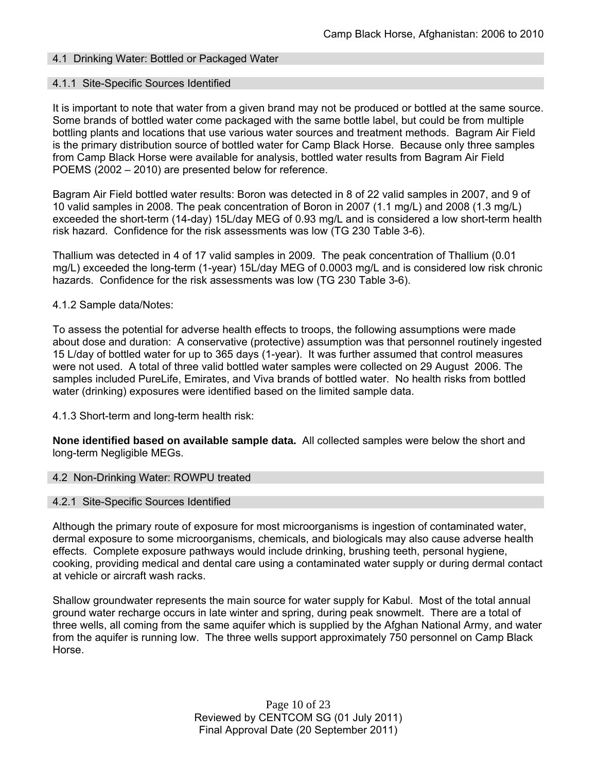## 4.1 Drinking Water: Bottled or Packaged Water

#### 4.1.1 Site-Specific Sources Identified

It is important to note that water from a given brand may not be produced or bottled at the same source. Some brands of bottled water come packaged with the same bottle label, but could be from multiple bottling plants and locations that use various water sources and treatment methods. Bagram Air Field is the primary distribution source of bottled water for Camp Black Horse. Because only three samples from Camp Black Horse were available for analysis, bottled water results from Bagram Air Field POEMS (2002 – 2010) are presented below for reference.

Bagram Air Field bottled water results: Boron was detected in 8 of 22 valid samples in 2007, and 9 of 10 valid samples in 2008. The peak concentration of Boron in 2007 (1.1 mg/L) and 2008 (1.3 mg/L) exceeded the short-term (14-day) 15L/day MEG of 0.93 mg/L and is considered a low short-term health risk hazard. Confidence for the risk assessments was low (TG 230 Table 3-6).

Thallium was detected in 4 of 17 valid samples in 2009. The peak concentration of Thallium (0.01 mg/L) exceeded the long-term (1-year) 15L/day MEG of 0.0003 mg/L and is considered low risk chronic hazards. Confidence for the risk assessments was low (TG 230 Table 3-6).

#### 4.1.2 Sample data/Notes:

To assess the potential for adverse health effects to troops, the following assumptions were made about dose and duration: A conservative (protective) assumption was that personnel routinely ingested 15 L/day of bottled water for up to 365 days (1-year). It was further assumed that control measures were not used. A total of three valid bottled water samples were collected on 29 August 2006. The samples included PureLife, Emirates, and Viva brands of bottled water. No health risks from bottled water (drinking) exposures were identified based on the limited sample data.

4.1.3 Short-term and long-term health risk:

**None identified based on available sample data.** All collected samples were below the short and long-term Negligible MEGs.

#### 4.2 Non-Drinking Water: ROWPU treated

#### 4.2.1 Site-Specific Sources Identified

Although the primary route of exposure for most microorganisms is ingestion of contaminated water, dermal exposure to some microorganisms, chemicals, and biologicals may also cause adverse health effects. Complete exposure pathways would include drinking, brushing teeth, personal hygiene, cooking, providing medical and dental care using a contaminated water supply or during dermal contact at vehicle or aircraft wash racks.

Shallow groundwater represents the main source for water supply for Kabul. Most of the total annual ground water recharge occurs in late winter and spring, during peak snowmelt. There are a total of three wells, all coming from the same aquifer which is supplied by the Afghan National Army, and water from the aquifer is running low. The three wells support approximately 750 personnel on Camp Black Horse.

> Page 10 of 23 Reviewed by CENTCOM SG (01 July 2011) Final Approval Date (20 September 2011)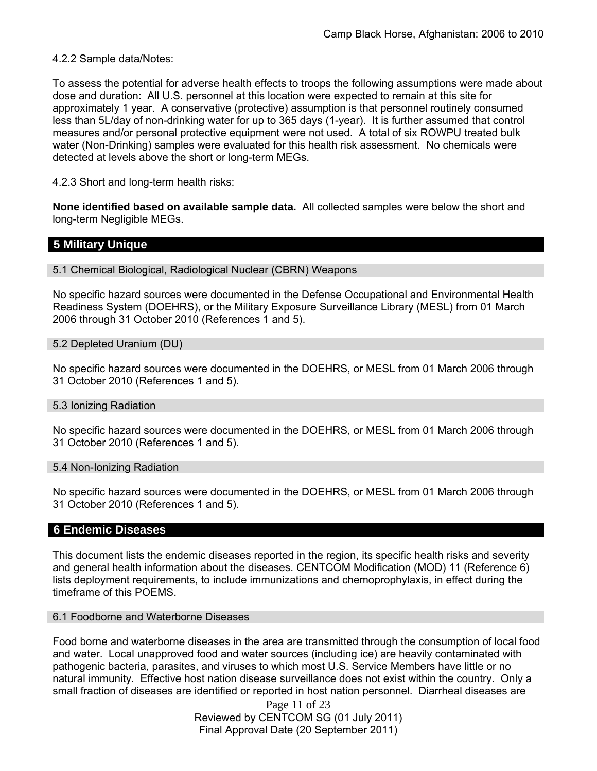#### 4.2.2 Sample data/Notes:

To assess the potential for adverse health effects to troops the following assumptions were made about dose and duration: All U.S. personnel at this location were expected to remain at this site for approximately 1 year. A conservative (protective) assumption is that personnel routinely consumed less than 5L/day of non-drinking water for up to 365 days (1-year). It is further assumed that control measures and/or personal protective equipment were not used. A total of six ROWPU treated bulk water (Non-Drinking) samples were evaluated for this health risk assessment. No chemicals were detected at levels above the short or long-term MEGs.

4.2.3 Short and long-term health risks:

**None identified based on available sample data.** All collected samples were below the short and long-term Negligible MEGs.

## **5 Military Unique**

5.1 Chemical Biological, Radiological Nuclear (CBRN) Weapons

No specific hazard sources were documented in the Defense Occupational and Environmental Health Readiness System (DOEHRS), or the Military Exposure Surveillance Library (MESL) from 01 March 2006 through 31 October 2010 (References 1 and 5).

5.2 Depleted Uranium (DU)

No specific hazard sources were documented in the DOEHRS, or MESL from 01 March 2006 through 31 October 2010 (References 1 and 5).

#### 5.3 Ionizing Radiation

No specific hazard sources were documented in the DOEHRS, or MESL from 01 March 2006 through 31 October 2010 (References 1 and 5).

#### 5.4 Non-Ionizing Radiation

No specific hazard sources were documented in the DOEHRS, or MESL from 01 March 2006 through 31 October 2010 (References 1 and 5).

#### **6 Endemic Diseases**

This document lists the endemic diseases reported in the region, its specific health risks and severity and general health information about the diseases. CENTCOM Modification (MOD) 11 (Reference 6) lists deployment requirements, to include immunizations and chemoprophylaxis, in effect during the timeframe of this POEMS.

#### 6.1 Foodborne and Waterborne Diseases

Food borne and waterborne diseases in the area are transmitted through the consumption of local food and water. Local unapproved food and water sources (including ice) are heavily contaminated with pathogenic bacteria, parasites, and viruses to which most U.S. Service Members have little or no natural immunity. Effective host nation disease surveillance does not exist within the country. Only a small fraction of diseases are identified or reported in host nation personnel. Diarrheal diseases are

> Page 11 of 23 Reviewed by CENTCOM SG (01 July 2011) Final Approval Date (20 September 2011)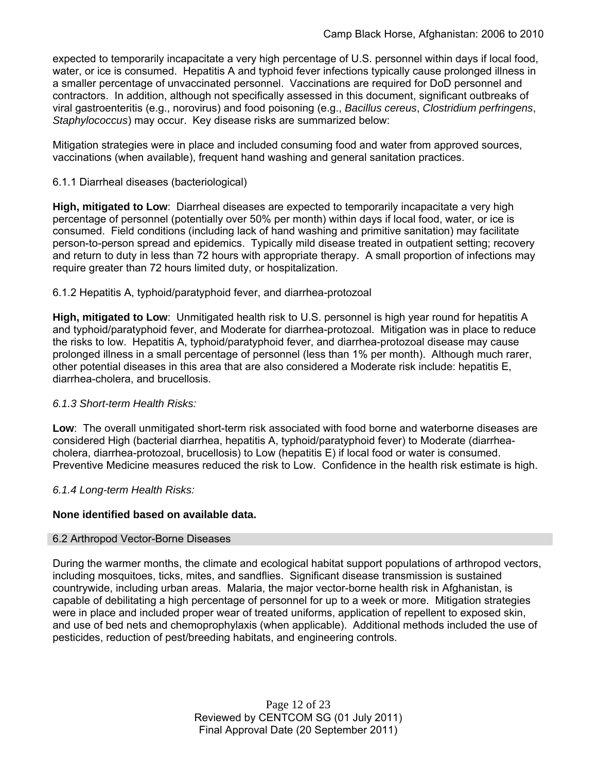expected to temporarily incapacitate a very high percentage of U.S. personnel within days if local food, water, or ice is consumed. Hepatitis A and typhoid fever infections typically cause prolonged illness in a smaller percentage of unvaccinated personnel. Vaccinations are required for DoD personnel and contractors. In addition, although not specifically assessed in this document, significant outbreaks of viral gastroenteritis (e.g., norovirus) and food poisoning (e.g., *Bacillus cereus*, *Clostridium perfringens*, *Staphylococcus*) may occur. Key disease risks are summarized below:

Mitigation strategies were in place and included consuming food and water from approved sources, vaccinations (when available), frequent hand washing and general sanitation practices.

## 6.1.1 Diarrheal diseases (bacteriological)

**High, mitigated to Low**: Diarrheal diseases are expected to temporarily incapacitate a very high percentage of personnel (potentially over 50% per month) within days if local food, water, or ice is consumed. Field conditions (including lack of hand washing and primitive sanitation) may facilitate person-to-person spread and epidemics. Typically mild disease treated in outpatient setting; recovery and return to duty in less than 72 hours with appropriate therapy. A small proportion of infections may require greater than 72 hours limited duty, or hospitalization.

## 6.1.2 Hepatitis A, typhoid/paratyphoid fever, and diarrhea-protozoal

**High, mitigated to Low**: Unmitigated health risk to U.S. personnel is high year round for hepatitis A and typhoid/paratyphoid fever, and Moderate for diarrhea-protozoal. Mitigation was in place to reduce the risks to low. Hepatitis A, typhoid/paratyphoid fever, and diarrhea-protozoal disease may cause prolonged illness in a small percentage of personnel (less than 1% per month). Although much rarer, other potential diseases in this area that are also considered a Moderate risk include: hepatitis E, diarrhea-cholera, and brucellosis.

## *6.1.3 Short-term Health Risks:*

**Low**: The overall unmitigated short-term risk associated with food borne and waterborne diseases are considered High (bacterial diarrhea, hepatitis A, typhoid/paratyphoid fever) to Moderate (diarrheacholera, diarrhea-protozoal, brucellosis) to Low (hepatitis E) if local food or water is consumed. Preventive Medicine measures reduced the risk to Low. Confidence in the health risk estimate is high.

## *6.1.4 Long-term Health Risks:*

## **None identified based on available data.**

## 6.2 Arthropod Vector-Borne Diseases

During the warmer months, the climate and ecological habitat support populations of arthropod vectors, including mosquitoes, ticks, mites, and sandflies. Significant disease transmission is sustained countrywide, including urban areas. Malaria, the major vector-borne health risk in Afghanistan, is capable of debilitating a high percentage of personnel for up to a week or more. Mitigation strategies were in place and included proper wear of treated uniforms, application of repellent to exposed skin, and use of bed nets and chemoprophylaxis (when applicable). Additional methods included the use of pesticides, reduction of pest/breeding habitats, and engineering controls.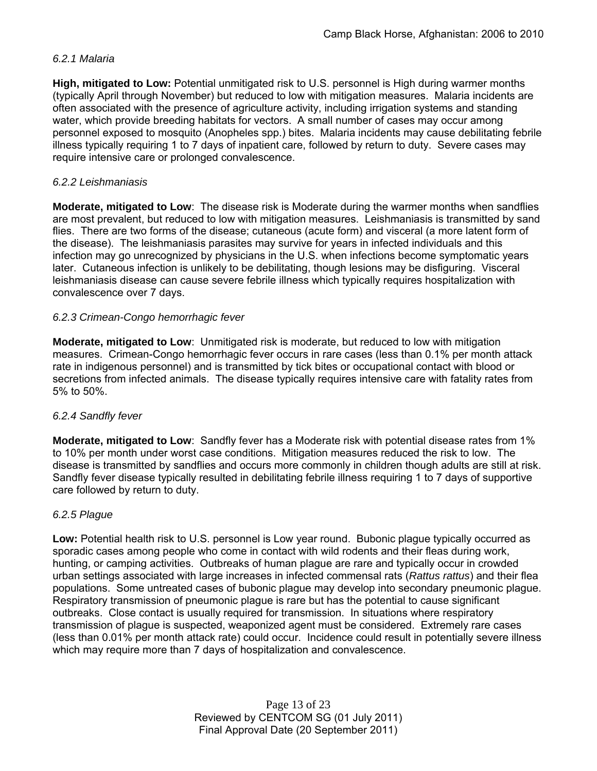## *6.2.1 Malaria*

**High, mitigated to Low:** Potential unmitigated risk to U.S. personnel is High during warmer months (typically April through November) but reduced to low with mitigation measures. Malaria incidents are often associated with the presence of agriculture activity, including irrigation systems and standing water, which provide breeding habitats for vectors. A small number of cases may occur among personnel exposed to mosquito (Anopheles spp.) bites. Malaria incidents may cause debilitating febrile illness typically requiring 1 to 7 days of inpatient care, followed by return to duty. Severe cases may require intensive care or prolonged convalescence.

## *6.2.2 Leishmaniasis*

**Moderate, mitigated to Low**: The disease risk is Moderate during the warmer months when sandflies are most prevalent, but reduced to low with mitigation measures. Leishmaniasis is transmitted by sand flies. There are two forms of the disease; cutaneous (acute form) and visceral (a more latent form of the disease). The leishmaniasis parasites may survive for years in infected individuals and this infection may go unrecognized by physicians in the U.S. when infections become symptomatic years later. Cutaneous infection is unlikely to be debilitating, though lesions may be disfiguring. Visceral leishmaniasis disease can cause severe febrile illness which typically requires hospitalization with convalescence over 7 days.

## *6.2.3 Crimean-Congo hemorrhagic fever*

**Moderate, mitigated to Low**: Unmitigated risk is moderate, but reduced to low with mitigation measures. Crimean-Congo hemorrhagic fever occurs in rare cases (less than 0.1% per month attack rate in indigenous personnel) and is transmitted by tick bites or occupational contact with blood or secretions from infected animals. The disease typically requires intensive care with fatality rates from 5% to 50%.

#### *6.2.4 Sandfly fever*

**Moderate, mitigated to Low**: Sandfly fever has a Moderate risk with potential disease rates from 1% to 10% per month under worst case conditions. Mitigation measures reduced the risk to low. The disease is transmitted by sandflies and occurs more commonly in children though adults are still at risk. Sandfly fever disease typically resulted in debilitating febrile illness requiring 1 to 7 days of supportive care followed by return to duty.

## *6.2.5 Plague*

**Low:** Potential health risk to U.S. personnel is Low year round. Bubonic plague typically occurred as sporadic cases among people who come in contact with wild rodents and their fleas during work, hunting, or camping activities. Outbreaks of human plague are rare and typically occur in crowded urban settings associated with large increases in infected commensal rats (*Rattus rattus*) and their flea populations. Some untreated cases of bubonic plague may develop into secondary pneumonic plague. Respiratory transmission of pneumonic plague is rare but has the potential to cause significant outbreaks. Close contact is usually required for transmission. In situations where respiratory transmission of plague is suspected, weaponized agent must be considered. Extremely rare cases (less than 0.01% per month attack rate) could occur. Incidence could result in potentially severe illness which may require more than 7 days of hospitalization and convalescence.

> Page 13 of 23 Reviewed by CENTCOM SG (01 July 2011) Final Approval Date (20 September 2011)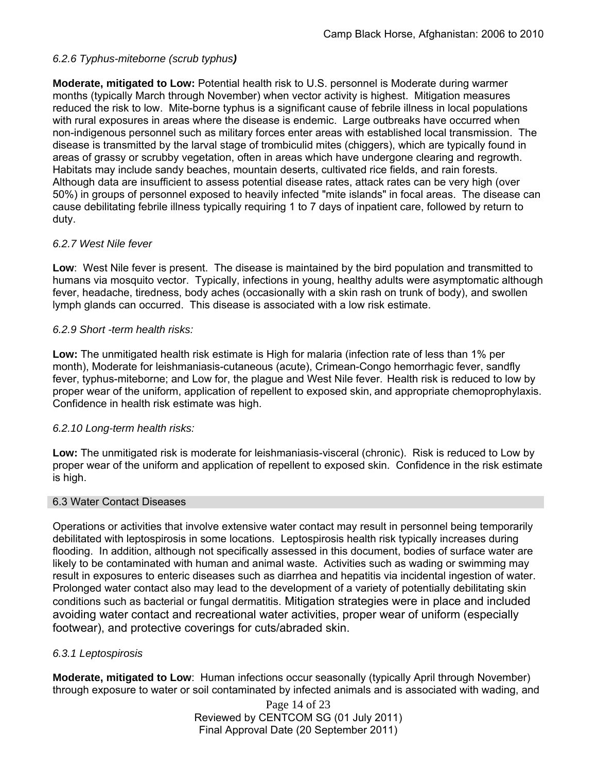## *6.2.6 Typhus-miteborne (scrub typhus)*

**Moderate, mitigated to Low:** Potential health risk to U.S. personnel is Moderate during warmer months (typically March through November) when vector activity is highest. Mitigation measures reduced the risk to low. Mite-borne typhus is a significant cause of febrile illness in local populations with rural exposures in areas where the disease is endemic. Large outbreaks have occurred when non-indigenous personnel such as military forces enter areas with established local transmission. The disease is transmitted by the larval stage of trombiculid mites (chiggers), which are typically found in areas of grassy or scrubby vegetation, often in areas which have undergone clearing and regrowth. Habitats may include sandy beaches, mountain deserts, cultivated rice fields, and rain forests. Although data are insufficient to assess potential disease rates, attack rates can be very high (over 50%) in groups of personnel exposed to heavily infected "mite islands" in focal areas. The disease can cause debilitating febrile illness typically requiring 1 to 7 days of inpatient care, followed by return to duty.

## *6.2.7 West Nile fever*

**Low**: West Nile fever is present. The disease is maintained by the bird population and transmitted to humans via mosquito vector. Typically, infections in young, healthy adults were asymptomatic although fever, headache, tiredness, body aches (occasionally with a skin rash on trunk of body), and swollen lymph glands can occurred. This disease is associated with a low risk estimate.

#### *6.2.9 Short -term health risks:*

**Low:** The unmitigated health risk estimate is High for malaria (infection rate of less than 1% per month), Moderate for leishmaniasis-cutaneous (acute), Crimean-Congo hemorrhagic fever, sandfly fever, typhus-miteborne; and Low for, the plague and West Nile fever. Health risk is reduced to low by proper wear of the uniform, application of repellent to exposed skin, and appropriate chemoprophylaxis. Confidence in health risk estimate was high.

## *6.2.10 Long-term health risks:*

**Low:** The unmitigated risk is moderate for leishmaniasis-visceral (chronic). Risk is reduced to Low by proper wear of the uniform and application of repellent to exposed skin. Confidence in the risk estimate is high.

#### 6.3 Water Contact Diseases

Operations or activities that involve extensive water contact may result in personnel being temporarily debilitated with leptospirosis in some locations. Leptospirosis health risk typically increases during flooding. In addition, although not specifically assessed in this document, bodies of surface water are likely to be contaminated with human and animal waste. Activities such as wading or swimming may result in exposures to enteric diseases such as diarrhea and hepatitis via incidental ingestion of water. Prolonged water contact also may lead to the development of a variety of potentially debilitating skin conditions such as bacterial or fungal dermatitis. Mitigation strategies were in place and included avoiding water contact and recreational water activities, proper wear of uniform (especially footwear), and protective coverings for cuts/abraded skin.

## *6.3.1 Leptospirosis*

**Moderate, mitigated to Low**: Human infections occur seasonally (typically April through November) through exposure to water or soil contaminated by infected animals and is associated with wading, and

> Page 14 of 23 Reviewed by CENTCOM SG (01 July 2011) Final Approval Date (20 September 2011)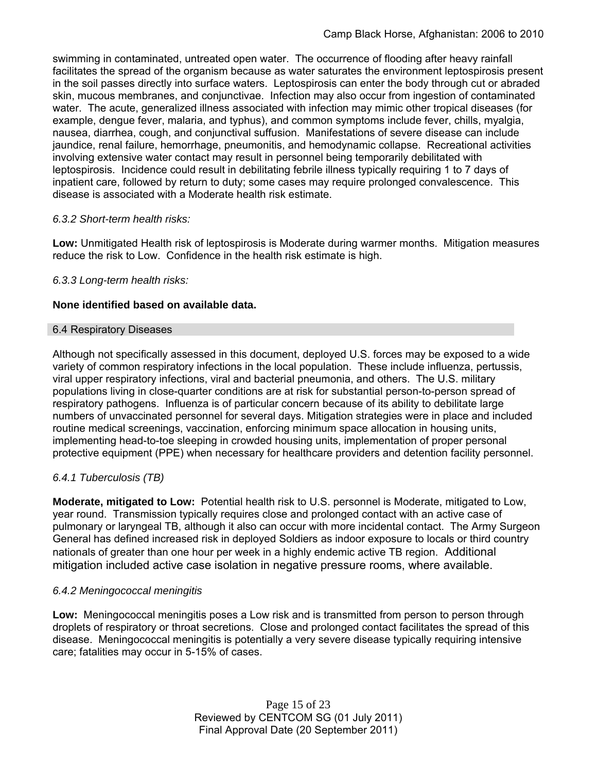swimming in contaminated, untreated open water. The occurrence of flooding after heavy rainfall facilitates the spread of the organism because as water saturates the environment leptospirosis present in the soil passes directly into surface waters. Leptospirosis can enter the body through cut or abraded skin, mucous membranes, and conjunctivae. Infection may also occur from ingestion of contaminated water. The acute, generalized illness associated with infection may mimic other tropical diseases (for example, dengue fever, malaria, and typhus), and common symptoms include fever, chills, myalgia, nausea, diarrhea, cough, and conjunctival suffusion. Manifestations of severe disease can include jaundice, renal failure, hemorrhage, pneumonitis, and hemodynamic collapse. Recreational activities involving extensive water contact may result in personnel being temporarily debilitated with leptospirosis. Incidence could result in debilitating febrile illness typically requiring 1 to 7 days of inpatient care, followed by return to duty; some cases may require prolonged convalescence. This disease is associated with a Moderate health risk estimate.

## *6.3.2 Short-term health risks:*

**Low:** Unmitigated Health risk of leptospirosis is Moderate during warmer months. Mitigation measures reduce the risk to Low. Confidence in the health risk estimate is high.

## *6.3.3 Long-term health risks:*

## **None identified based on available data.**

#### 6.4 Respiratory Diseases

Although not specifically assessed in this document, deployed U.S. forces may be exposed to a wide variety of common respiratory infections in the local population. These include influenza, pertussis, viral upper respiratory infections, viral and bacterial pneumonia, and others. The U.S. military populations living in close-quarter conditions are at risk for substantial person-to-person spread of respiratory pathogens. Influenza is of particular concern because of its ability to debilitate large numbers of unvaccinated personnel for several days. Mitigation strategies were in place and included routine medical screenings, vaccination, enforcing minimum space allocation in housing units, implementing head-to-toe sleeping in crowded housing units, implementation of proper personal protective equipment (PPE) when necessary for healthcare providers and detention facility personnel.

# *6.4.1 Tuberculosis (TB)*

**Moderate, mitigated to Low:** Potential health risk to U.S. personnel is Moderate, mitigated to Low, year round. Transmission typically requires close and prolonged contact with an active case of pulmonary or laryngeal TB, although it also can occur with more incidental contact. The Army Surgeon General has defined increased risk in deployed Soldiers as indoor exposure to locals or third country nationals of greater than one hour per week in a highly endemic active TB region. Additional mitigation included active case isolation in negative pressure rooms, where available.

## *6.4.2 Meningococcal meningitis*

**Low:** Meningococcal meningitis poses a Low risk and is transmitted from person to person through droplets of respiratory or throat secretions. Close and prolonged contact facilitates the spread of this disease. Meningococcal meningitis is potentially a very severe disease typically requiring intensive care; fatalities may occur in 5-15% of cases.

> Page 15 of 23 Reviewed by CENTCOM SG (01 July 2011) Final Approval Date (20 September 2011)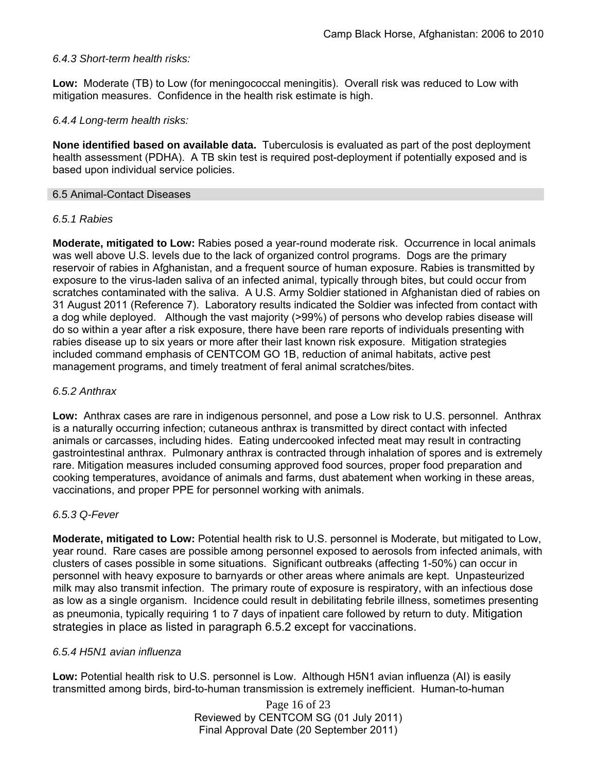## *6.4.3 Short-term health risks:*

**Low:** Moderate (TB) to Low (for meningococcal meningitis). Overall risk was reduced to Low with mitigation measures. Confidence in the health risk estimate is high.

#### *6.4.4 Long-term health risks:*

**None identified based on available data.** Tuberculosis is evaluated as part of the post deployment health assessment (PDHA). A TB skin test is required post-deployment if potentially exposed and is based upon individual service policies.

#### 6.5 Animal-Contact Diseases

#### *6.5.1 Rabies*

**Moderate, mitigated to Low:** Rabies posed a year-round moderate risk. Occurrence in local animals was well above U.S. levels due to the lack of organized control programs. Dogs are the primary reservoir of rabies in Afghanistan, and a frequent source of human exposure. Rabies is transmitted by exposure to the virus-laden saliva of an infected animal, typically through bites, but could occur from scratches contaminated with the saliva. A U.S. Army Soldier stationed in Afghanistan died of rabies on 31 August 2011 (Reference 7). Laboratory results indicated the Soldier was infected from contact with a dog while deployed. Although the vast majority (>99%) of persons who develop rabies disease will do so within a year after a risk exposure, there have been rare reports of individuals presenting with rabies disease up to six years or more after their last known risk exposure. Mitigation strategies included command emphasis of CENTCOM GO 1B, reduction of animal habitats, active pest management programs, and timely treatment of feral animal scratches/bites.

#### *6.5.2 Anthrax*

**Low:** Anthrax cases are rare in indigenous personnel, and pose a Low risk to U.S. personnel. Anthrax is a naturally occurring infection; cutaneous anthrax is transmitted by direct contact with infected animals or carcasses, including hides. Eating undercooked infected meat may result in contracting gastrointestinal anthrax. Pulmonary anthrax is contracted through inhalation of spores and is extremely rare. Mitigation measures included consuming approved food sources, proper food preparation and cooking temperatures, avoidance of animals and farms, dust abatement when working in these areas, vaccinations, and proper PPE for personnel working with animals.

#### *6.5.3 Q-Fever*

**Moderate, mitigated to Low:** Potential health risk to U.S. personnel is Moderate, but mitigated to Low, year round. Rare cases are possible among personnel exposed to aerosols from infected animals, with clusters of cases possible in some situations. Significant outbreaks (affecting 1-50%) can occur in personnel with heavy exposure to barnyards or other areas where animals are kept. Unpasteurized milk may also transmit infection. The primary route of exposure is respiratory, with an infectious dose as low as a single organism. Incidence could result in debilitating febrile illness, sometimes presenting as pneumonia, typically requiring 1 to 7 days of inpatient care followed by return to duty. Mitigation strategies in place as listed in paragraph 6.5.2 except for vaccinations.

#### *6.5.4 H5N1 avian influenza*

**Low:** Potential health risk to U.S. personnel is Low. Although H5N1 avian influenza (AI) is easily transmitted among birds, bird-to-human transmission is extremely inefficient. Human-to-human

> Page 16 of 23 Reviewed by CENTCOM SG (01 July 2011) Final Approval Date (20 September 2011)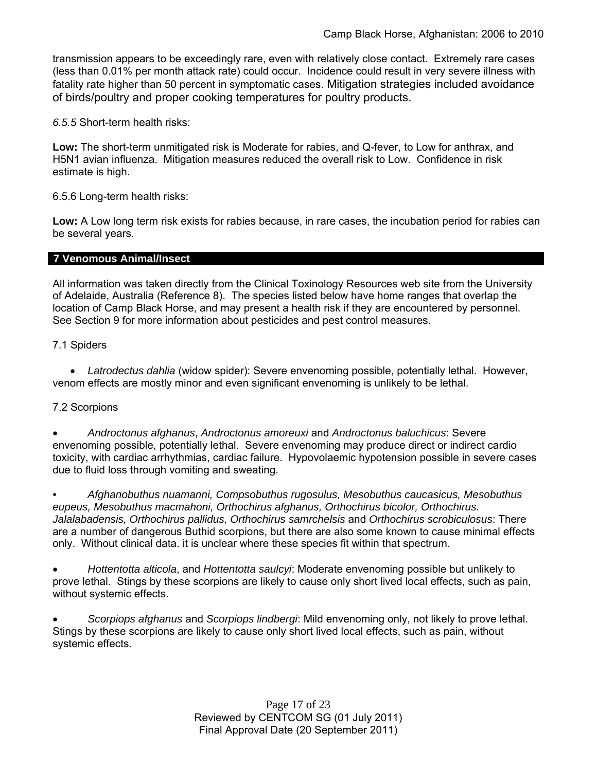transmission appears to be exceedingly rare, even with relatively close contact. Extremely rare cases (less than 0.01% per month attack rate) could occur. Incidence could result in very severe illness with fatality rate higher than 50 percent in symptomatic cases. Mitigation strategies included avoidance of birds/poultry and proper cooking temperatures for poultry products.

*6.5.5* Short-term health risks:

**Low:** The short-term unmitigated risk is Moderate for rabies, and Q-fever, to Low for anthrax, and H5N1 avian influenza. Mitigation measures reduced the overall risk to Low.Confidence in risk estimate is high.

6.5.6 Long-term health risks:

**Low:** A Low long term risk exists for rabies because, in rare cases, the incubation period for rabies can be several years.

#### **7 Venomous Animal/Insect**

All information was taken directly from the Clinical Toxinology Resources web site from the University of Adelaide, Australia (Reference 8). The species listed below have home ranges that overlap the location of Camp Black Horse, and may present a health risk if they are encountered by personnel. See Section 9 for more information about pesticides and pest control measures.

7.1 Spiders

 *Latrodectus dahlia* (widow spider): Severe envenoming possible, potentially lethal. However, venom effects are mostly minor and even significant envenoming is unlikely to be lethal.

## 7.2 Scorpions

 *Androctonus afghanus*, *Androctonus amoreuxi* and *Androctonus baluchicus*: Severe envenoming possible, potentially lethal. Severe envenoming may produce direct or indirect cardio toxicity, with cardiac arrhythmias, cardiac failure. Hypovolaemic hypotension possible in severe cases due to fluid loss through vomiting and sweating.

*• Afghanobuthus nuamanni, Compsobuthus rugosulus, Mesobuthus caucasicus, Mesobuthus eupeus, Mesobuthus macmahoni, Orthochirus afghanus, Orthochirus bicolor, Orthochirus. Jalalabadensis, Orthochirus pallidus, Orthochirus samrchelsis* and *Orthochirus scrobiculosus*: There are a number of dangerous Buthid scorpions, but there are also some known to cause minimal effects only. Without clinical data. it is unclear where these species fit within that spectrum.

 *Hottentotta alticola*, and *Hottentotta saulcyi*: Moderate envenoming possible but unlikely to prove lethal. Stings by these scorpions are likely to cause only short lived local effects, such as pain, without systemic effects.

 *Scorpiops afghanus* and *Scorpiops lindbergi*: Mild envenoming only, not likely to prove lethal. Stings by these scorpions are likely to cause only short lived local effects, such as pain, without systemic effects.

> Page 17 of 23 Reviewed by CENTCOM SG (01 July 2011) Final Approval Date (20 September 2011)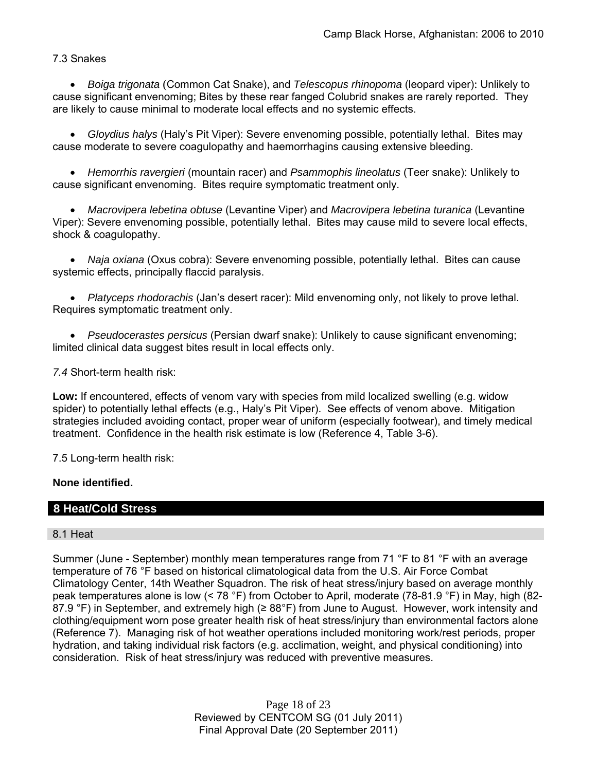7.3 Snakes

 *Boiga trigonata* (Common Cat Snake), and *Telescopus rhinopoma* (leopard viper): Unlikely to cause significant envenoming; Bites by these rear fanged Colubrid snakes are rarely reported. They are likely to cause minimal to moderate local effects and no systemic effects.

 *Gloydius halys* (Haly's Pit Viper): Severe envenoming possible, potentially lethal. Bites may cause moderate to severe coagulopathy and haemorrhagins causing extensive bleeding.

 *Hemorrhis ravergieri* (mountain racer) and *Psammophis lineolatus* (Teer snake): Unlikely to cause significant envenoming. Bites require symptomatic treatment only.

 *Macrovipera lebetina obtuse* (Levantine Viper) and *Macrovipera lebetina turanica* (Levantine Viper): Severe envenoming possible, potentially lethal. Bites may cause mild to severe local effects, shock & coagulopathy.

 *Naja oxiana* (Oxus cobra): Severe envenoming possible, potentially lethal. Bites can cause systemic effects, principally flaccid paralysis.

 *Platyceps rhodorachis* (Jan's desert racer): Mild envenoming only, not likely to prove lethal. Requires symptomatic treatment only.

 *Pseudocerastes persicus* (Persian dwarf snake): Unlikely to cause significant envenoming; limited clinical data suggest bites result in local effects only.

*7.4* Short-term health risk:

**Low:** If encountered, effects of venom vary with species from mild localized swelling (e.g. widow spider) to potentially lethal effects (e.g., Haly's Pit Viper). See effects of venom above. Mitigation strategies included avoiding contact, proper wear of uniform (especially footwear), and timely medical treatment. Confidence in the health risk estimate is low (Reference 4, Table 3-6).

7.5 Long-term health risk:

## **None identified.**

# **8 Heat/Cold Stress**

## 8.1 Heat

Summer (June - September) monthly mean temperatures range from 71 °F to 81 °F with an average temperature of 76 °F based on historical climatological data from the U.S. Air Force Combat Climatology Center, 14th Weather Squadron. The risk of heat stress/injury based on average monthly peak temperatures alone is low (< 78 °F) from October to April, moderate (78-81.9 °F) in May, high (82- 87.9 °F) in September, and extremely high (≥ 88°F) from June to August. However, work intensity and clothing/equipment worn pose greater health risk of heat stress/injury than environmental factors alone (Reference 7). Managing risk of hot weather operations included monitoring work/rest periods, proper hydration, and taking individual risk factors (e.g. acclimation, weight, and physical conditioning) into consideration. Risk of heat stress/injury was reduced with preventive measures.

> Page 18 of 23 Reviewed by CENTCOM SG (01 July 2011) Final Approval Date (20 September 2011)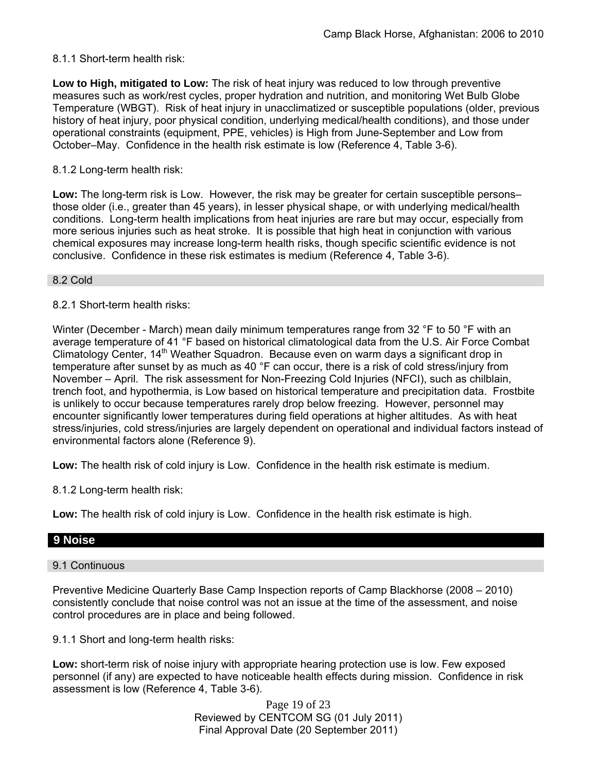## 8.1.1 Short-term health risk:

**Low to High, mitigated to Low:** The risk of heat injury was reduced to low through preventive measures such as work/rest cycles, proper hydration and nutrition, and monitoring Wet Bulb Globe Temperature (WBGT). Risk of heat injury in unacclimatized or susceptible populations (older, previous history of heat injury, poor physical condition, underlying medical/health conditions), and those under operational constraints (equipment, PPE, vehicles) is High from June-September and Low from October–May. Confidence in the health risk estimate is low (Reference 4, Table 3-6).

#### 8.1.2 Long-term health risk:

**Low:** The long-term risk is Low. However, the risk may be greater for certain susceptible persons– those older (i.e., greater than 45 years), in lesser physical shape, or with underlying medical/health conditions. Long-term health implications from heat injuries are rare but may occur, especially from more serious injuries such as heat stroke. It is possible that high heat in conjunction with various chemical exposures may increase long-term health risks, though specific scientific evidence is not conclusive. Confidence in these risk estimates is medium (Reference 4, Table 3-6).

8.2 Cold

8.2.1 Short-term health risks:

Winter (December - March) mean daily minimum temperatures range from 32 °F to 50 °F with an average temperature of 41 °F based on historical climatological data from the U.S. Air Force Combat Climatology Center, 14<sup>th</sup> Weather Squadron. Because even on warm days a significant drop in temperature after sunset by as much as 40 °F can occur, there is a risk of cold stress/injury from November – April. The risk assessment for Non-Freezing Cold Injuries (NFCI), such as chilblain, trench foot, and hypothermia, is Low based on historical temperature and precipitation data. Frostbite is unlikely to occur because temperatures rarely drop below freezing. However, personnel may encounter significantly lower temperatures during field operations at higher altitudes. As with heat stress/injuries, cold stress/injuries are largely dependent on operational and individual factors instead of environmental factors alone (Reference 9).

**Low:** The health risk of cold injury is Low. Confidence in the health risk estimate is medium.

8.1.2 Long-term health risk:

**Low:** The health risk of cold injury is Low. Confidence in the health risk estimate is high.

## **9 Noise**

## 9.1 Continuous

Preventive Medicine Quarterly Base Camp Inspection reports of Camp Blackhorse (2008 – 2010) consistently conclude that noise control was not an issue at the time of the assessment, and noise control procedures are in place and being followed.

9.1.1 Short and long-term health risks:

**Low:** short-term risk of noise injury with appropriate hearing protection use is low. Few exposed personnel (if any) are expected to have noticeable health effects during mission. Confidence in risk assessment is low (Reference 4, Table 3-6).

> Page 19 of 23 Reviewed by CENTCOM SG (01 July 2011) Final Approval Date (20 September 2011)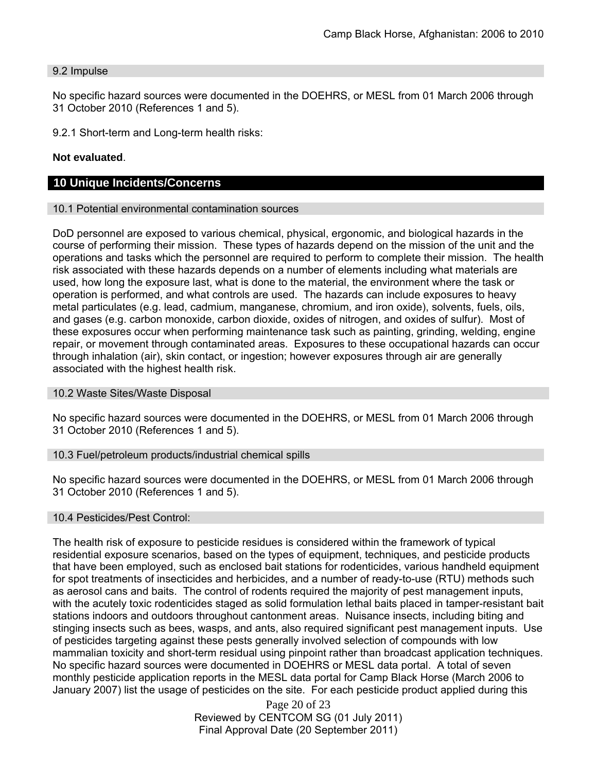#### 9.2 Impulse

No specific hazard sources were documented in the DOEHRS, or MESL from 01 March 2006 through 31 October 2010 (References 1 and 5).

9.2.1 Short-term and Long-term health risks:

#### **Not evaluated**.

#### **10 Unique Incidents/Concerns**

#### 10.1 Potential environmental contamination sources

DoD personnel are exposed to various chemical, physical, ergonomic, and biological hazards in the course of performing their mission. These types of hazards depend on the mission of the unit and the operations and tasks which the personnel are required to perform to complete their mission. The health risk associated with these hazards depends on a number of elements including what materials are used, how long the exposure last, what is done to the material, the environment where the task or operation is performed, and what controls are used. The hazards can include exposures to heavy metal particulates (e.g. lead, cadmium, manganese, chromium, and iron oxide), solvents, fuels, oils, and gases (e.g. carbon monoxide, carbon dioxide, oxides of nitrogen, and oxides of sulfur). Most of these exposures occur when performing maintenance task such as painting, grinding, welding, engine repair, or movement through contaminated areas. Exposures to these occupational hazards can occur through inhalation (air), skin contact, or ingestion; however exposures through air are generally associated with the highest health risk.

#### 10.2 Waste Sites/Waste Disposal

No specific hazard sources were documented in the DOEHRS, or MESL from 01 March 2006 through 31 October 2010 (References 1 and 5).

#### 10.3 Fuel/petroleum products/industrial chemical spills

No specific hazard sources were documented in the DOEHRS, or MESL from 01 March 2006 through 31 October 2010 (References 1 and 5).

#### 10.4 Pesticides/Pest Control:

The health risk of exposure to pesticide residues is considered within the framework of typical residential exposure scenarios, based on the types of equipment, techniques, and pesticide products that have been employed, such as enclosed bait stations for rodenticides, various handheld equipment for spot treatments of insecticides and herbicides, and a number of ready-to-use (RTU) methods such as aerosol cans and baits. The control of rodents required the majority of pest management inputs, with the acutely toxic rodenticides staged as solid formulation lethal baits placed in tamper-resistant bait stations indoors and outdoors throughout cantonment areas. Nuisance insects, including biting and stinging insects such as bees, wasps, and ants, also required significant pest management inputs. Use of pesticides targeting against these pests generally involved selection of compounds with low mammalian toxicity and short-term residual using pinpoint rather than broadcast application techniques. No specific hazard sources were documented in DOEHRS or MESL data portal. A total of seven monthly pesticide application reports in the MESL data portal for Camp Black Horse (March 2006 to January 2007) list the usage of pesticides on the site. For each pesticide product applied during this

> Page 20 of 23 Reviewed by CENTCOM SG (01 July 2011) Final Approval Date (20 September 2011)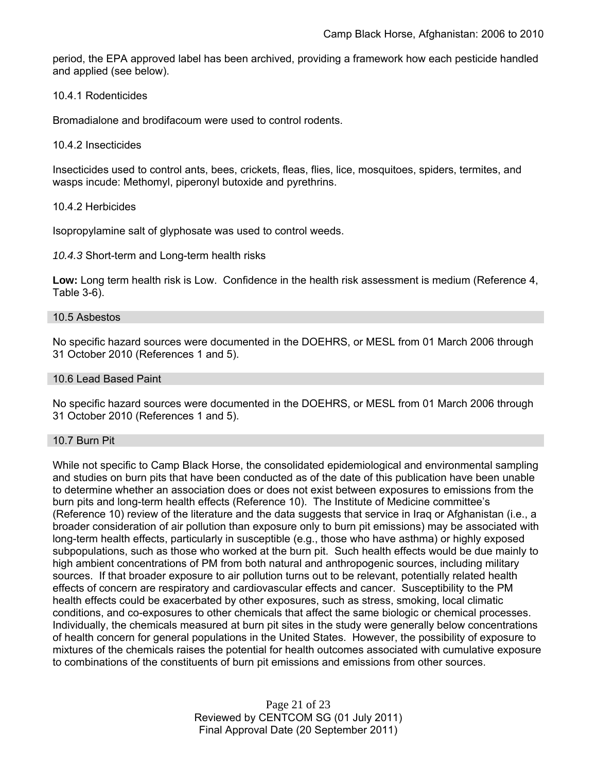period, the EPA approved label has been archived, providing a framework how each pesticide handled and applied (see below).

#### 10.4.1 Rodenticides

Bromadialone and brodifacoum were used to control rodents.

#### 10.4.2 Insecticides

Insecticides used to control ants, bees, crickets, fleas, flies, lice, mosquitoes, spiders, termites, and wasps incude: Methomyl, piperonyl butoxide and pyrethrins.

#### 10.4.2 Herbicides

Isopropylamine salt of glyphosate was used to control weeds.

*10.4.3* Short-term and Long-term health risks

**Low:** Long term health risk is Low. Confidence in the health risk assessment is medium (Reference 4, Table 3-6).

#### 10.5 Asbestos

No specific hazard sources were documented in the DOEHRS, or MESL from 01 March 2006 through 31 October 2010 (References 1 and 5).

#### 10.6 Lead Based Paint

No specific hazard sources were documented in the DOEHRS, or MESL from 01 March 2006 through 31 October 2010 (References 1 and 5).

#### 10.7 Burn Pit

While not specific to Camp Black Horse, the consolidated epidemiological and environmental sampling and studies on burn pits that have been conducted as of the date of this publication have been unable to determine whether an association does or does not exist between exposures to emissions from the burn pits and long-term health effects (Reference 10). The Institute of Medicine committee's (Reference 10) review of the literature and the data suggests that service in Iraq or Afghanistan (i.e., a broader consideration of air pollution than exposure only to burn pit emissions) may be associated with long-term health effects, particularly in susceptible (e.g., those who have asthma) or highly exposed subpopulations, such as those who worked at the burn pit. Such health effects would be due mainly to high ambient concentrations of PM from both natural and anthropogenic sources, including military sources. If that broader exposure to air pollution turns out to be relevant, potentially related health effects of concern are respiratory and cardiovascular effects and cancer. Susceptibility to the PM health effects could be exacerbated by other exposures, such as stress, smoking, local climatic conditions, and co-exposures to other chemicals that affect the same biologic or chemical processes. Individually, the chemicals measured at burn pit sites in the study were generally below concentrations of health concern for general populations in the United States. However, the possibility of exposure to mixtures of the chemicals raises the potential for health outcomes associated with cumulative exposure to combinations of the constituents of burn pit emissions and emissions from other sources.

> Page 21 of 23 Reviewed by CENTCOM SG (01 July 2011) Final Approval Date (20 September 2011)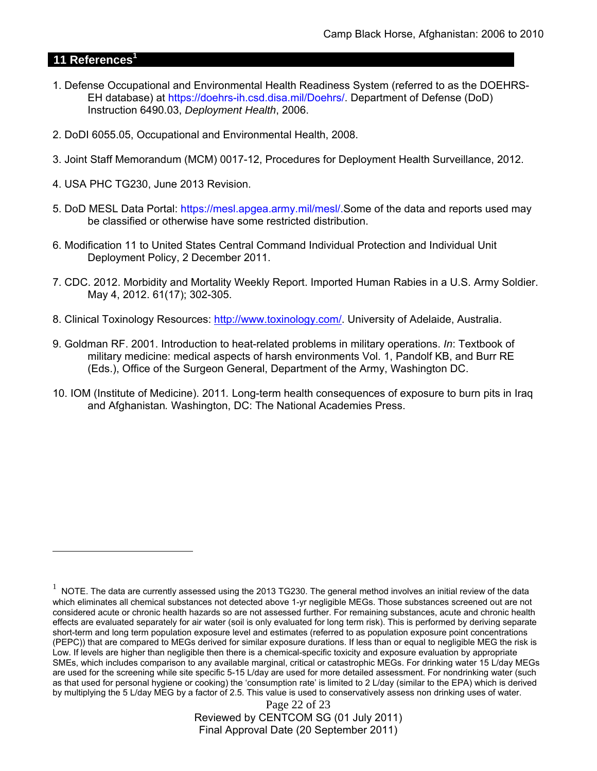# **11 References<sup>1</sup>**

 $\overline{a}$ 

- 1. Defense Occupational and Environmental Health Readiness System (referred to as the DOEHRS-EH database) at https://doehrs-ih.csd.disa.mil/Doehrs/. Department of Defense (DoD) Instruction 6490.03, *Deployment Health*, 2006.
- 2. DoDI 6055.05, Occupational and Environmental Health, 2008.
- 3. Joint Staff Memorandum (MCM) 0017-12, Procedures for Deployment Health Surveillance, 2012.
- 4. USA PHC TG230, June 2013 Revision.
- 5. DoD MESL Data Portal: https://mesl.apgea.army.mil/mesl/.Some of the data and reports used may be classified or otherwise have some restricted distribution.
- 6. Modification 11 to United States Central Command Individual Protection and Individual Unit Deployment Policy, 2 December 2011.
- 7. CDC. 2012. Morbidity and Mortality Weekly Report. Imported Human Rabies in a U.S. Army Soldier. May 4, 2012. 61(17); 302-305.
- 8. Clinical Toxinology Resources: http://www.toxinology.com/. University of Adelaide, Australia.
- 9. Goldman RF. 2001. Introduction to heat-related problems in military operations. *In*: Textbook of military medicine: medical aspects of harsh environments Vol. 1, Pandolf KB, and Burr RE (Eds.), Office of the Surgeon General, Department of the Army, Washington DC.
- 10. IOM (Institute of Medicine). 2011*.* Long-term health consequences of exposure to burn pits in Iraq and Afghanistan*.* Washington, DC: The National Academies Press.

Page 22 of 23 Reviewed by CENTCOM SG (01 July 2011) Final Approval Date (20 September 2011)

 $1$  NOTE. The data are currently assessed using the 2013 TG230. The general method involves an initial review of the data which eliminates all chemical substances not detected above 1-yr negligible MEGs. Those substances screened out are not considered acute or chronic health hazards so are not assessed further. For remaining substances, acute and chronic health effects are evaluated separately for air water (soil is only evaluated for long term risk). This is performed by deriving separate short-term and long term population exposure level and estimates (referred to as population exposure point concentrations (PEPC)) that are compared to MEGs derived for similar exposure durations. If less than or equal to negligible MEG the risk is Low. If levels are higher than negligible then there is a chemical-specific toxicity and exposure evaluation by appropriate SMEs, which includes comparison to any available marginal, critical or catastrophic MEGs. For drinking water 15 L/day MEGs are used for the screening while site specific 5-15 L/day are used for more detailed assessment. For nondrinking water (such as that used for personal hygiene or cooking) the 'consumption rate' is limited to 2 L/day (similar to the EPA) which is derived by multiplying the 5 L/day MEG by a factor of 2.5. This value is used to conservatively assess non drinking uses of water.